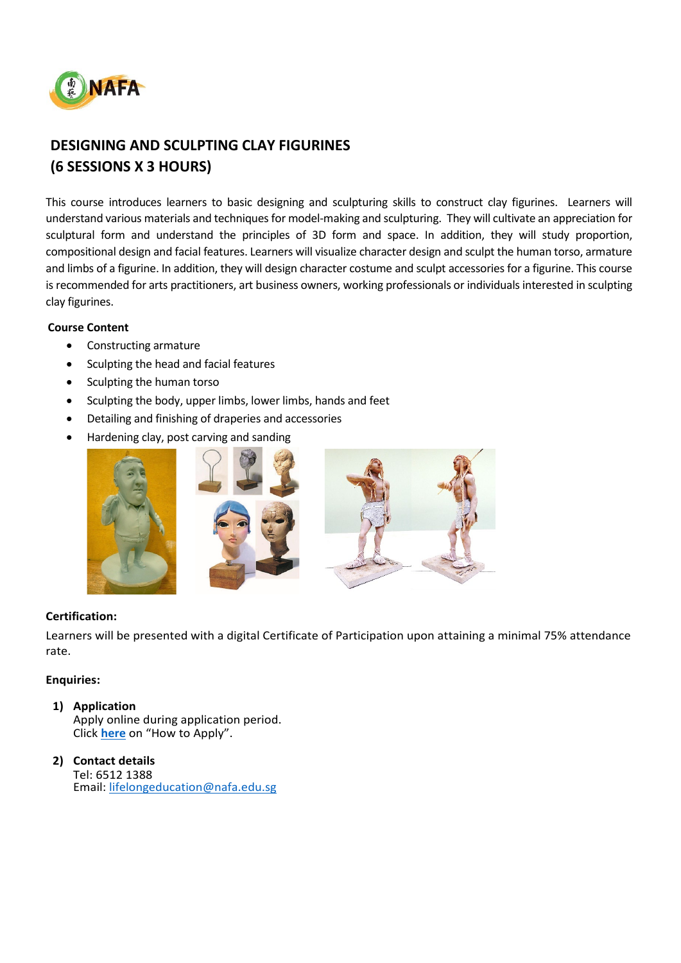

# **DESIGNING AND SCULPTING CLAY FIGURINES (6 SESSIONS X 3 HOURS)**

This course introduces learners to basic designing and sculpturing skills to construct clay figurines. Learners will understand various materials and techniques for model-making and sculpturing. They will cultivate an appreciation for sculptural form and understand the principles of 3D form and space. In addition, they will study proportion, compositional design and facial features. Learners will visualize character design and sculpt the human torso, armature and limbs of a figurine. In addition, they will design character costume and sculpt accessories for a figurine. This course is recommended for arts practitioners, art business owners, working professionals or individuals interested in sculpting clay figurines.

## **Course Content**

- Constructing armature
- Sculpting the head and facial features
- Sculpting the human torso
- Sculpting the body, upper limbs, lower limbs, hands and feet
- Detailing and finishing of draperies and accessories
- Hardening clay, post carving and sanding



## **Certification:**

Learners will be presented with a digital Certificate of Participation upon attaining a minimal 75% attendance rate.

### **Enquiries:**

- **1) Application** Apply online during application period. Click **[here](https://www.nafa.edu.sg/courses/part-time/short-courses#collapseFive)** on "How to Apply".
- **2) Contact details** Tel: 6512 1388 Email: [lifelongeducation@nafa.edu.sg](mailto:lifelongeducation@nafa.edu.sg)